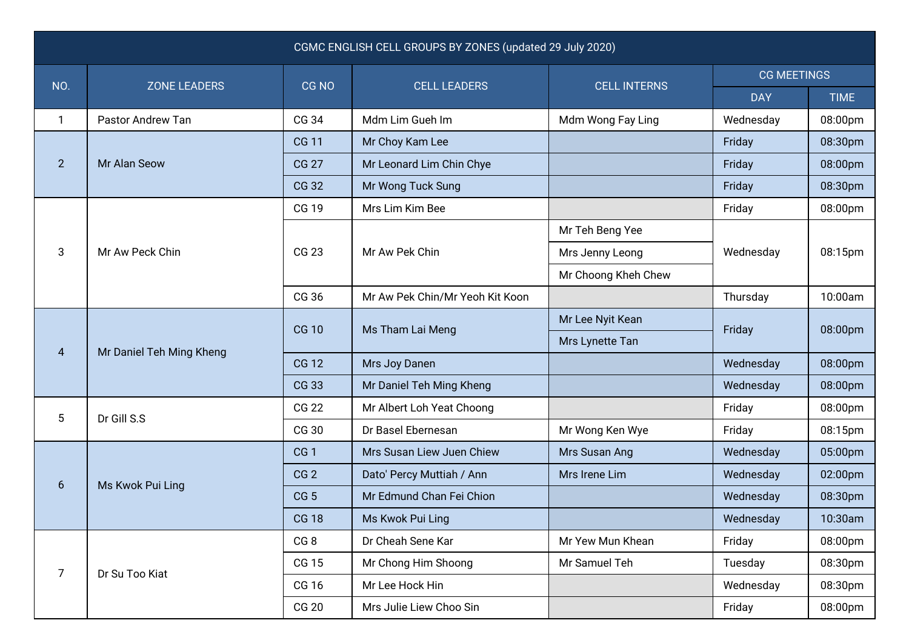| CGMC ENGLISH CELL GROUPS BY ZONES (updated 29 July 2020) |                          |                 |                                 |                     |                    |             |  |  |  |  |
|----------------------------------------------------------|--------------------------|-----------------|---------------------------------|---------------------|--------------------|-------------|--|--|--|--|
| NO.                                                      | <b>ZONE LEADERS</b>      | CG NO           | <b>CELL LEADERS</b>             | <b>CELL INTERNS</b> | <b>CG MEETINGS</b> |             |  |  |  |  |
|                                                          |                          |                 |                                 |                     | <b>DAY</b>         | <b>TIME</b> |  |  |  |  |
| 1                                                        | Pastor Andrew Tan        | CG 34           | Mdm Lim Gueh Im                 | Mdm Wong Fay Ling   | Wednesday          | 08:00pm     |  |  |  |  |
| $\overline{2}$                                           | Mr Alan Seow             | <b>CG 11</b>    | Mr Choy Kam Lee                 |                     | Friday             | 08:30pm     |  |  |  |  |
|                                                          |                          | <b>CG 27</b>    | Mr Leonard Lim Chin Chye        |                     | Friday             | 08:00pm     |  |  |  |  |
|                                                          |                          | CG 32           | Mr Wong Tuck Sung               |                     | Friday             | 08:30pm     |  |  |  |  |
| 3                                                        | Mr Aw Peck Chin          | <b>CG 19</b>    | Mrs Lim Kim Bee                 |                     | Friday             | 08:00pm     |  |  |  |  |
|                                                          |                          | CG 23           | Mr Aw Pek Chin                  | Mr Teh Beng Yee     | Wednesday          | 08:15pm     |  |  |  |  |
|                                                          |                          |                 |                                 | Mrs Jenny Leong     |                    |             |  |  |  |  |
|                                                          |                          |                 |                                 | Mr Choong Kheh Chew |                    |             |  |  |  |  |
|                                                          |                          | CG 36           | Mr Aw Pek Chin/Mr Yeoh Kit Koon |                     | Thursday           | 10:00am     |  |  |  |  |
| 4                                                        | Mr Daniel Teh Ming Kheng | <b>CG 10</b>    | Ms Tham Lai Meng                | Mr Lee Nyit Kean    | Friday             | 08:00pm     |  |  |  |  |
|                                                          |                          |                 |                                 | Mrs Lynette Tan     |                    |             |  |  |  |  |
|                                                          |                          | <b>CG 12</b>    | Mrs Joy Danen                   |                     | Wednesday          | 08:00pm     |  |  |  |  |
|                                                          |                          | CG 33           | Mr Daniel Teh Ming Kheng        |                     | Wednesday          | 08:00pm     |  |  |  |  |
| $5\phantom{.0}$                                          | Dr Gill S.S              | <b>CG 22</b>    | Mr Albert Loh Yeat Choong       |                     | Friday             | 08:00pm     |  |  |  |  |
|                                                          |                          | CG 30           | Dr Basel Ebernesan              | Mr Wong Ken Wye     | Friday             | 08:15pm     |  |  |  |  |
| 6                                                        | Ms Kwok Pui Ling         | CG <sub>1</sub> | Mrs Susan Liew Juen Chiew       | Mrs Susan Ang       | Wednesday          | 05:00pm     |  |  |  |  |
|                                                          |                          | CG <sub>2</sub> | Dato' Percy Muttiah / Ann       | Mrs Irene Lim       | Wednesday          | 02:00pm     |  |  |  |  |
|                                                          |                          | CG <sub>5</sub> | Mr Edmund Chan Fei Chion        |                     | Wednesday          | 08:30pm     |  |  |  |  |
|                                                          |                          | <b>CG 18</b>    | Ms Kwok Pui Ling                |                     | Wednesday          | 10:30am     |  |  |  |  |
| $\overline{7}$                                           | Dr Su Too Kiat           | CG <sub>8</sub> | Dr Cheah Sene Kar               | Mr Yew Mun Khean    | Friday             | 08:00pm     |  |  |  |  |
|                                                          |                          | CG 15           | Mr Chong Him Shoong             | Mr Samuel Teh       | Tuesday            | 08:30pm     |  |  |  |  |
|                                                          |                          | CG 16           | Mr Lee Hock Hin                 |                     | Wednesday          | 08:30pm     |  |  |  |  |
|                                                          |                          | <b>CG 20</b>    | Mrs Julie Liew Choo Sin         |                     | Friday             | 08:00pm     |  |  |  |  |